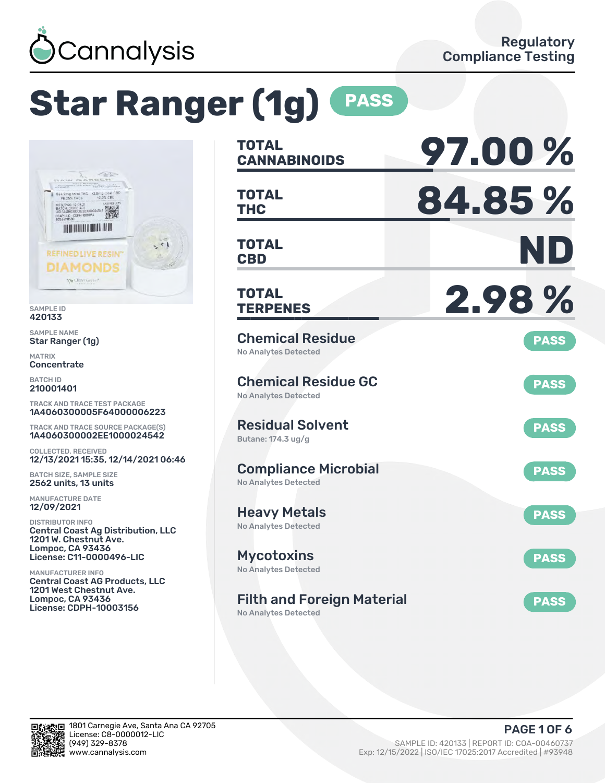

# **Star Ranger (1g) PASS**



SAMPLE ID 420133

SAMPLE NAME Star Ranger (1g)

MATRIX **Concentrate** 

BATCH ID 210001401

TRACK AND TRACE TEST PACKAGE 1A4060300005F64000006223

TRACK AND TRACE SOURCE PACKAGE(S) 1A4060300002EE1000024542

COLLECTED, RECEIVED 12/13/2021 15:35, 12/14/2021 06:46

BATCH SIZE, SAMPLE SIZE 2562 units, 13 units

MANUFACTURE DATE 12/09/2021

DISTRIBUTOR INFO Central Coast Ag Distribution, LLC 1201 W. Chestnut Ave. Lompoc, CA 93436 License: C11-0000496-LIC

MANUFACTURER INFO Central Coast AG Products, LLC 1201 West Chestnut Ave. Lompoc, CA 93436 License: CDPH-10003156

| <b>TOTAL</b><br><b>CANNABINOIDS</b>                        | 97.00%      |
|------------------------------------------------------------|-------------|
| <b>TOTAL</b><br>THC                                        | 84.85%      |
| <b>TOTAL</b><br><b>CBD</b>                                 | ND          |
| <b>TOTAL</b><br><b>TERPENES</b>                            | 2.98%       |
| <b>Chemical Residue</b><br>No Analytes Detected            | <b>PASS</b> |
| <b>Chemical Residue GC</b><br><b>No Analytes Detected</b>  | <b>PASS</b> |
| <b>Residual Solvent</b><br>Butane: 174.3 ug/g              | <b>PASS</b> |
| <b>Compliance Microbial</b><br><b>No Analytes Detected</b> | <b>PASS</b> |
| <b>Heavy Metals</b><br><b>No Analytes Detected</b>         | <b>PASS</b> |
| <b>Mycotoxins</b><br><b>No Analytes Detected</b>           | <b>PASS</b> |
| <b>Filth and Foreign Material</b>                          | <b>PASS</b> |

No Analytes Detected

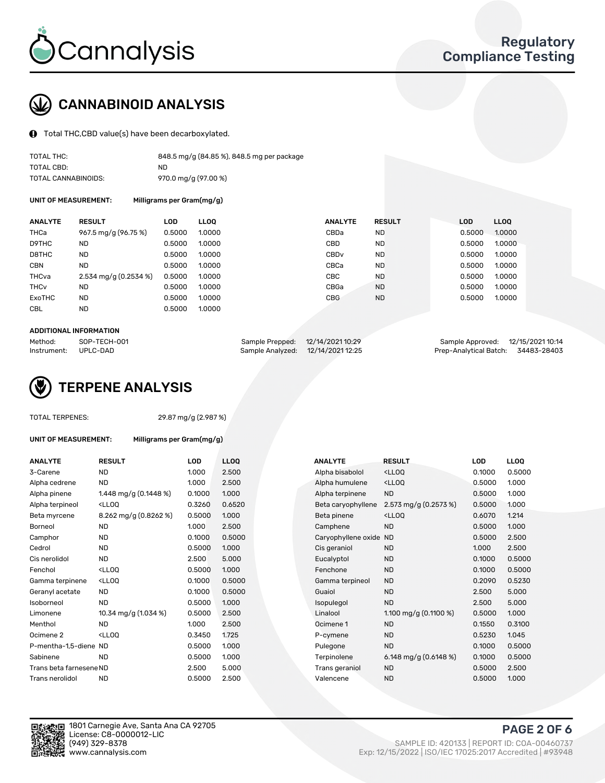

## CANNABINOID ANALYSIS

Total THC,CBD value(s) have been decarboxylated.

| TOTAL THC:          | 848.5 mg/g (84.85 %), 848.5 mg per package |
|---------------------|--------------------------------------------|
| TOTAL CBD:          | ND.                                        |
| TOTAL CANNABINOIDS: | 970.0 mg/g (97.00 %)                       |

UNIT OF MEASUREMENT: Milligrams per Gram(mg/g)

| <b>ANALYTE</b>         | <b>RESULT</b>         | LOD    | <b>LLOO</b> | <b>ANALYTE</b>   | <b>RESULT</b> | <b>LOD</b> | <b>LLOO</b> |
|------------------------|-----------------------|--------|-------------|------------------|---------------|------------|-------------|
| THCa                   | 967.5 mg/g (96.75 %)  | 0.5000 | 1.0000      | CBDa             | <b>ND</b>     | 0.5000     | 1.0000      |
| D9THC                  | <b>ND</b>             | 0.5000 | 1.0000      | CBD              | <b>ND</b>     | 0.5000     | 1.0000      |
| D8THC                  | <b>ND</b>             | 0.5000 | 1.0000      | CBD <sub>v</sub> | <b>ND</b>     | 0.5000     | 1.0000      |
| <b>CBN</b>             | <b>ND</b>             | 0.5000 | 1.0000      | CBCa             | <b>ND</b>     | 0.5000     | 1.0000      |
| THCva                  | 2.534 mg/g (0.2534 %) | 0.5000 | 1.0000      | CBC              | <b>ND</b>     | 0.5000     | 1.0000      |
| <b>THC<sub>v</sub></b> | <b>ND</b>             | 0.5000 | 1.0000      | CBGa             | <b>ND</b>     | 0.5000     | 1.0000      |
| <b>ExoTHC</b>          | <b>ND</b>             | 0.5000 | 1.0000      | <b>CBG</b>       | <b>ND</b>     | 0.5000     | 1.0000      |
| <b>CBL</b>             | <b>ND</b>             | 0.5000 | 1.0000      |                  |               |            |             |
|                        |                       |        |             |                  |               |            |             |

#### ADDITIONAL INFORMATION

| Method:              | SOP-TECH-001 | Sample Prepped: 12/14/2021 10:29  | Sample Approved: 12/15/2021 10:14  |  |
|----------------------|--------------|-----------------------------------|------------------------------------|--|
| Instrument: UPLC-DAD |              | Sample Analyzed: 12/14/2021 12:25 | Prep-Analytical Batch: 34483-28403 |  |



#### TOTAL TERPENES: 29.87 mg/g (2.987 %)

| UNIT OF MEASUREMENT: | Milligrams per Gram(mg/g) |
|----------------------|---------------------------|
|----------------------|---------------------------|

| <b>ANALYTE</b>          | <b>RESULT</b>                                                                                                                             | LOD    | <b>LLOQ</b> | <b>ANALYTE</b>         | <b>RESULT</b>                                       | LOD    | <b>LLOQ</b> |
|-------------------------|-------------------------------------------------------------------------------------------------------------------------------------------|--------|-------------|------------------------|-----------------------------------------------------|--------|-------------|
| 3-Carene                | ND.                                                                                                                                       | 1.000  | 2.500       | Alpha bisabolol        | <lloq< td=""><td>0.1000</td><td>0.5000</td></lloq<> | 0.1000 | 0.5000      |
| Alpha cedrene           | <b>ND</b>                                                                                                                                 | 1.000  | 2.500       | Alpha humulene         | <lloq< td=""><td>0.5000</td><td>1.000</td></lloq<>  | 0.5000 | 1.000       |
| Alpha pinene            | 1.448 mg/g $(0.1448\%)$                                                                                                                   | 0.1000 | 1.000       | Alpha terpinene        | <b>ND</b>                                           | 0.5000 | 1.000       |
| Alpha terpineol         | <lloq< td=""><td>0.3260</td><td>0.6520</td><td>Beta caryophyllene</td><td>2.573 mg/g (0.2573 %)</td><td>0.5000</td><td>1.000</td></lloq<> | 0.3260 | 0.6520      | Beta caryophyllene     | 2.573 mg/g (0.2573 %)                               | 0.5000 | 1.000       |
| Beta myrcene            | 8.262 mg/g (0.8262 %)                                                                                                                     | 0.5000 | 1.000       | Beta pinene            | <lloq< td=""><td>0.6070</td><td>1.214</td></lloq<>  | 0.6070 | 1.214       |
| Borneol                 | <b>ND</b>                                                                                                                                 | 1.000  | 2.500       | Camphene               | <b>ND</b>                                           | 0.5000 | 1.000       |
| Camphor                 | ND.                                                                                                                                       | 0.1000 | 0.5000      | Caryophyllene oxide ND |                                                     | 0.5000 | 2.500       |
| Cedrol                  | ND.                                                                                                                                       | 0.5000 | 1.000       | Cis geraniol           | <b>ND</b>                                           | 1.000  | 2.500       |
| Cis nerolidol           | <b>ND</b>                                                                                                                                 | 2.500  | 5.000       | Eucalyptol             | <b>ND</b>                                           | 0.1000 | 0.5000      |
| Fenchol                 | <lloq< td=""><td>0.5000</td><td>1.000</td><td>Fenchone</td><td><b>ND</b></td><td>0.1000</td><td>0.5000</td></lloq<>                       | 0.5000 | 1.000       | Fenchone               | <b>ND</b>                                           | 0.1000 | 0.5000      |
| Gamma terpinene         | <ll0q< td=""><td>0.1000</td><td>0.5000</td><td>Gamma terpineol</td><td><b>ND</b></td><td>0.2090</td><td>0.5230</td></ll0q<>               | 0.1000 | 0.5000      | Gamma terpineol        | <b>ND</b>                                           | 0.2090 | 0.5230      |
| Geranyl acetate         | <b>ND</b>                                                                                                                                 | 0.1000 | 0.5000      | Guaiol                 | <b>ND</b>                                           | 2.500  | 5.000       |
| Isoborneol              | <b>ND</b>                                                                                                                                 | 0.5000 | 1.000       | Isopulegol             | <b>ND</b>                                           | 2.500  | 5.000       |
| Limonene                | 10.34 mg/g $(1.034\%)$                                                                                                                    | 0.5000 | 2.500       | Linalool               | 1.100 mg/g $(0.1100\%)$                             | 0.5000 | 1.000       |
| Menthol                 | <b>ND</b>                                                                                                                                 | 1.000  | 2.500       | Ocimene 1              | <b>ND</b>                                           | 0.1550 | 0.3100      |
| Ocimene 2               | <lloq< td=""><td>0.3450</td><td>1.725</td><td>P-cymene</td><td><b>ND</b></td><td>0.5230</td><td>1.045</td></lloq<>                        | 0.3450 | 1.725       | P-cymene               | <b>ND</b>                                           | 0.5230 | 1.045       |
| P-mentha-1.5-diene ND   |                                                                                                                                           | 0.5000 | 1.000       | Pulegone               | <b>ND</b>                                           | 0.1000 | 0.5000      |
| Sabinene                | <b>ND</b>                                                                                                                                 | 0.5000 | 1.000       | Terpinolene            | 6.148 mg/g $(0.6148%)$                              | 0.1000 | 0.5000      |
| Trans beta farnesene ND |                                                                                                                                           | 2.500  | 5.000       | Trans geraniol         | <b>ND</b>                                           | 0.5000 | 2.500       |
| Trans nerolidol         | <b>ND</b>                                                                                                                                 | 0.5000 | 2.500       | Valencene              | <b>ND</b>                                           | 0.5000 | 1.000       |
|                         |                                                                                                                                           |        |             |                        |                                                     |        |             |

| ANALYTE                 | <b>RESULT</b>                                                                                                                             | <b>LOD</b> | <b>LLOQ</b> | <b>ANALYTE</b>         | <b>RESULT</b>                                       | <b>LOD</b> | <b>LLOQ</b> |
|-------------------------|-------------------------------------------------------------------------------------------------------------------------------------------|------------|-------------|------------------------|-----------------------------------------------------|------------|-------------|
| 3-Carene                | <b>ND</b>                                                                                                                                 | 1.000      | 2.500       | Alpha bisabolol        | <lloq< td=""><td>0.1000</td><td>0.5000</td></lloq<> | 0.1000     | 0.5000      |
| Alpha cedrene           | <b>ND</b>                                                                                                                                 | 1.000      | 2.500       | Alpha humulene         | <lloq< td=""><td>0.5000</td><td>1.000</td></lloq<>  | 0.5000     | 1.000       |
| Alpha pinene            | 1.448 mg/g (0.1448 %)                                                                                                                     | 0.1000     | 1.000       | Alpha terpinene        | <b>ND</b>                                           | 0.5000     | 1.000       |
| Alpha terpineol         | <lloq< td=""><td>0.3260</td><td>0.6520</td><td>Beta caryophyllene</td><td>2.573 mg/g (0.2573 %)</td><td>0.5000</td><td>1.000</td></lloq<> | 0.3260     | 0.6520      | Beta caryophyllene     | 2.573 mg/g (0.2573 %)                               | 0.5000     | 1.000       |
| Beta myrcene            | 8.262 mg/g (0.8262 %)                                                                                                                     | 0.5000     | 1.000       | Beta pinene            | <lloq< td=""><td>0.6070</td><td>1.214</td></lloq<>  | 0.6070     | 1.214       |
| Borneol                 | <b>ND</b>                                                                                                                                 | 1.000      | 2.500       | Camphene               | <b>ND</b>                                           | 0.5000     | 1.000       |
| Camphor                 | <b>ND</b>                                                                                                                                 | 0.1000     | 0.5000      | Caryophyllene oxide ND |                                                     | 0.5000     | 2.500       |
| Cedrol                  | <b>ND</b>                                                                                                                                 | 0.5000     | 1.000       | Cis geraniol           | ND.                                                 | 1.000      | 2.500       |
| Cis nerolidol           | <b>ND</b>                                                                                                                                 | 2.500      | 5.000       | Eucalyptol             | <b>ND</b>                                           | 0.1000     | 0.5000      |
| Fenchol                 | <lloq< td=""><td>0.5000</td><td>1.000</td><td>Fenchone</td><td><b>ND</b></td><td>0.1000</td><td>0.5000</td></lloq<>                       | 0.5000     | 1.000       | Fenchone               | <b>ND</b>                                           | 0.1000     | 0.5000      |
| Gamma terpinene         | <lloq< td=""><td>0.1000</td><td>0.5000</td><td>Gamma terpineol</td><td><b>ND</b></td><td>0.2090</td><td>0.5230</td></lloq<>               | 0.1000     | 0.5000      | Gamma terpineol        | <b>ND</b>                                           | 0.2090     | 0.5230      |
| Geranyl acetate         | ND.                                                                                                                                       | 0.1000     | 0.5000      | Guaiol                 | <b>ND</b>                                           | 2.500      | 5.000       |
| Isoborneol              | <b>ND</b>                                                                                                                                 | 0.5000     | 1.000       | Isopulegol             | <b>ND</b>                                           | 2.500      | 5.000       |
| Limonene                | 10.34 mg/g (1.034 %)                                                                                                                      | 0.5000     | 2.500       | Linalool               | 1.100 mg/g $(0.1100\%)$                             | 0.5000     | 1.000       |
| Menthol                 | <b>ND</b>                                                                                                                                 | 1.000      | 2.500       | Ocimene 1              | <b>ND</b>                                           | 0.1550     | 0.3100      |
| Ocimene 2               | <lloo< td=""><td>0.3450</td><td>1.725</td><td>P-cymene</td><td><b>ND</b></td><td>0.5230</td><td>1.045</td></lloo<>                        | 0.3450     | 1.725       | P-cymene               | <b>ND</b>                                           | 0.5230     | 1.045       |
| P-mentha-1,5-diene ND   |                                                                                                                                           | 0.5000     | 1.000       | Pulegone               | <b>ND</b>                                           | 0.1000     | 0.5000      |
| Sabinene                | <b>ND</b>                                                                                                                                 | 0.5000     | 1.000       | Terpinolene            | 6.148 mg/g $(0.6148%)$                              | 0.1000     | 0.5000      |
| Trans beta farnesene ND |                                                                                                                                           | 2.500      | 5.000       | Trans geraniol         | <b>ND</b>                                           | 0.5000     | 2.500       |
| Trans nerolidol         | <b>ND</b>                                                                                                                                 | 0.5000     | 2.500       | Valencene              | <b>ND</b>                                           | 0.5000     | 1.000       |



PAGE 2 OF 6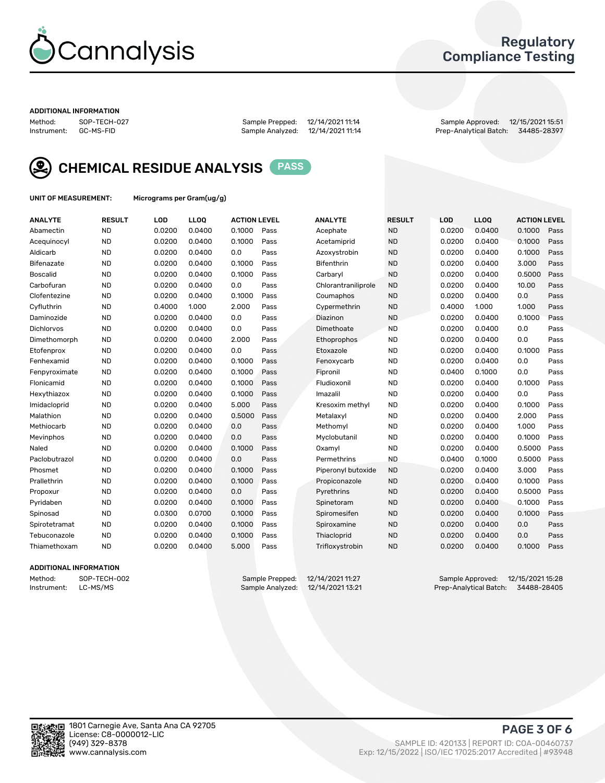

## Regulatory Compliance Testing

#### ADDITIONAL INFORMATION

Method: SOP-TECH-027 Sample Prepped: 12/14/2021 11:14 Sample Approved: 12/15/2021 15:51 Prep-Analytical Batch: 34485-28397



CHEMICAL RESIDUE ANALYSIS PASS

UNIT OF MEASUREMENT: Micrograms per Gram(ug/g)

| <b>ANALYTE</b>    | <b>RESULT</b> | LOD    | LL <sub>OO</sub> | <b>ACTION LEVEL</b> |      | <b>ANALYTE</b>      | <b>RESULT</b> | <b>LOD</b> | <b>LLOQ</b> | <b>ACTION LEVEL</b> |      |
|-------------------|---------------|--------|------------------|---------------------|------|---------------------|---------------|------------|-------------|---------------------|------|
| Abamectin         | <b>ND</b>     | 0.0200 | 0.0400           | 0.1000              | Pass | Acephate            | <b>ND</b>     | 0.0200     | 0.0400      | 0.1000              | Pass |
| Acequinocyl       | <b>ND</b>     | 0.0200 | 0.0400           | 0.1000              | Pass | Acetamiprid         | <b>ND</b>     | 0.0200     | 0.0400      | 0.1000              | Pass |
| Aldicarb          | <b>ND</b>     | 0.0200 | 0.0400           | 0.0                 | Pass | Azoxystrobin        | <b>ND</b>     | 0.0200     | 0.0400      | 0.1000              | Pass |
| Bifenazate        | <b>ND</b>     | 0.0200 | 0.0400           | 0.1000              | Pass | <b>Bifenthrin</b>   | <b>ND</b>     | 0.0200     | 0.0400      | 3.000               | Pass |
| <b>Boscalid</b>   | <b>ND</b>     | 0.0200 | 0.0400           | 0.1000              | Pass | Carbaryl            | <b>ND</b>     | 0.0200     | 0.0400      | 0.5000              | Pass |
| Carbofuran        | <b>ND</b>     | 0.0200 | 0.0400           | 0.0                 | Pass | Chlorantraniliprole | <b>ND</b>     | 0.0200     | 0.0400      | 10.00               | Pass |
| Clofentezine      | <b>ND</b>     | 0.0200 | 0.0400           | 0.1000              | Pass | Coumaphos           | <b>ND</b>     | 0.0200     | 0.0400      | 0.0                 | Pass |
| Cyfluthrin        | <b>ND</b>     | 0.4000 | 1.000            | 2.000               | Pass | Cypermethrin        | <b>ND</b>     | 0.4000     | 1.000       | 1.000               | Pass |
| Daminozide        | <b>ND</b>     | 0.0200 | 0.0400           | 0.0                 | Pass | Diazinon            | <b>ND</b>     | 0.0200     | 0.0400      | 0.1000              | Pass |
| <b>Dichlorvos</b> | <b>ND</b>     | 0.0200 | 0.0400           | 0.0                 | Pass | Dimethoate          | <b>ND</b>     | 0.0200     | 0.0400      | 0.0                 | Pass |
| Dimethomorph      | <b>ND</b>     | 0.0200 | 0.0400           | 2.000               | Pass | <b>Ethoprophos</b>  | <b>ND</b>     | 0.0200     | 0.0400      | 0.0                 | Pass |
| Etofenprox        | <b>ND</b>     | 0.0200 | 0.0400           | 0.0                 | Pass | Etoxazole           | <b>ND</b>     | 0.0200     | 0.0400      | 0.1000              | Pass |
| Fenhexamid        | <b>ND</b>     | 0.0200 | 0.0400           | 0.1000              | Pass | Fenoxycarb          | <b>ND</b>     | 0.0200     | 0.0400      | 0.0                 | Pass |
| Fenpyroximate     | <b>ND</b>     | 0.0200 | 0.0400           | 0.1000              | Pass | Fipronil            | <b>ND</b>     | 0.0400     | 0.1000      | 0.0                 | Pass |
| Flonicamid        | <b>ND</b>     | 0.0200 | 0.0400           | 0.1000              | Pass | Fludioxonil         | <b>ND</b>     | 0.0200     | 0.0400      | 0.1000              | Pass |
| Hexythiazox       | <b>ND</b>     | 0.0200 | 0.0400           | 0.1000              | Pass | Imazalil            | <b>ND</b>     | 0.0200     | 0.0400      | 0.0                 | Pass |
| Imidacloprid      | <b>ND</b>     | 0.0200 | 0.0400           | 5.000               | Pass | Kresoxim methyl     | <b>ND</b>     | 0.0200     | 0.0400      | 0.1000              | Pass |
| Malathion         | <b>ND</b>     | 0.0200 | 0.0400           | 0.5000              | Pass | Metalaxyl           | <b>ND</b>     | 0.0200     | 0.0400      | 2.000               | Pass |
| Methiocarb        | <b>ND</b>     | 0.0200 | 0.0400           | 0.0                 | Pass | Methomyl            | <b>ND</b>     | 0.0200     | 0.0400      | 1.000               | Pass |
| Mevinphos         | <b>ND</b>     | 0.0200 | 0.0400           | 0.0                 | Pass | Myclobutanil        | <b>ND</b>     | 0.0200     | 0.0400      | 0.1000              | Pass |
| Naled             | <b>ND</b>     | 0.0200 | 0.0400           | 0.1000              | Pass | Oxamyl              | <b>ND</b>     | 0.0200     | 0.0400      | 0.5000              | Pass |
| Paclobutrazol     | <b>ND</b>     | 0.0200 | 0.0400           | 0.0                 | Pass | Permethrins         | <b>ND</b>     | 0.0400     | 0.1000      | 0.5000              | Pass |
| Phosmet           | <b>ND</b>     | 0.0200 | 0.0400           | 0.1000              | Pass | Piperonyl butoxide  | <b>ND</b>     | 0.0200     | 0.0400      | 3.000               | Pass |
| Prallethrin       | <b>ND</b>     | 0.0200 | 0.0400           | 0.1000              | Pass | Propiconazole       | <b>ND</b>     | 0.0200     | 0.0400      | 0.1000              | Pass |
| Propoxur          | <b>ND</b>     | 0.0200 | 0.0400           | 0.0                 | Pass | Pyrethrins          | <b>ND</b>     | 0.0200     | 0.0400      | 0.5000              | Pass |
| Pyridaben         | <b>ND</b>     | 0.0200 | 0.0400           | 0.1000              | Pass | Spinetoram          | <b>ND</b>     | 0.0200     | 0.0400      | 0.1000              | Pass |
| Spinosad          | <b>ND</b>     | 0.0300 | 0.0700           | 0.1000              | Pass | Spiromesifen        | <b>ND</b>     | 0.0200     | 0.0400      | 0.1000              | Pass |
| Spirotetramat     | <b>ND</b>     | 0.0200 | 0.0400           | 0.1000              | Pass | Spiroxamine         | <b>ND</b>     | 0.0200     | 0.0400      | 0.0                 | Pass |
| Tebuconazole      | <b>ND</b>     | 0.0200 | 0.0400           | 0.1000              | Pass | Thiacloprid         | <b>ND</b>     | 0.0200     | 0.0400      | 0.0                 | Pass |
| Thiamethoxam      | <b>ND</b>     | 0.0200 | 0.0400           | 5.000               | Pass | Trifloxystrobin     | <b>ND</b>     | 0.0200     | 0.0400      | 0.1000              | Pass |

### ADDITIONAL INFORMATION

Method: SOP-TECH-002 Sample Prepped: 12/14/2021 11:27 Sample Approved: 12/15/2021 15:28 Prep-Analytical Batch: 34488-28405

PAGE 3 OF 6

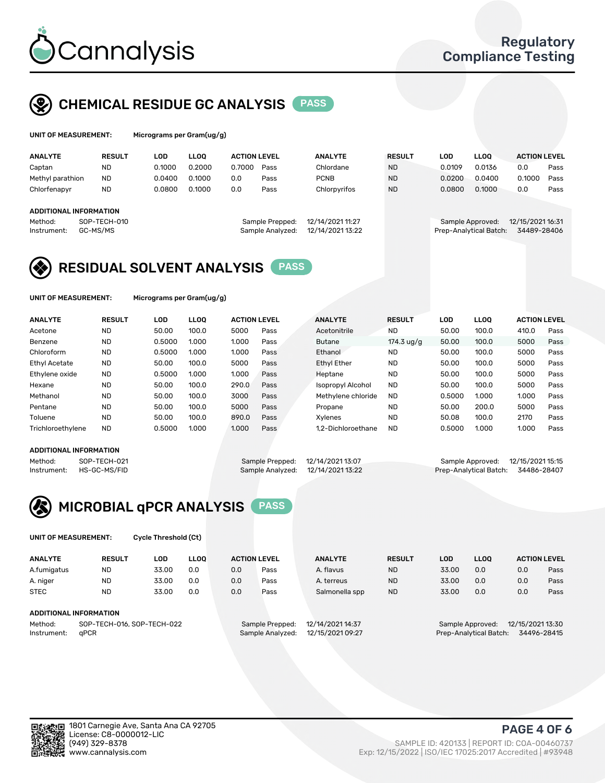

## CHEMICAL RESIDUE GC ANALYSIS PASS

| UNIT OF MEASUREMENT: |                      | Micrograms per Gram(ug/g) |        |                     |                          |                |                      |             |             |                     |      |
|----------------------|----------------------|---------------------------|--------|---------------------|--------------------------|----------------|----------------------|-------------|-------------|---------------------|------|
| <b>ANALYTE</b>       | <b>RESULT</b>        | LOD                       | LLOO   | <b>ACTION LEVEL</b> |                          | <b>ANALYTE</b> | <b>RESULT</b>        | LOD         | <b>LLOO</b> | <b>ACTION LEVEL</b> |      |
| .<br>Captan          | <b>ND</b>            | 0.1000                    | 0.2000 | 0.7000              | Pass                     | Chlordane      | <b>ND</b>            | 0.0109      | 0.0136      | 0.0                 | Pass |
| .<br>.               | $\sim$ $\sim$ $\sim$ | - - - - - -               | - ---- | - -                 | $\overline{\phantom{0}}$ | -----          | $\sim$ $\sim$ $\sim$ | - - - - - - | -----       | - ---- -            |      |

| Methyl parathion       | <b>ND</b>                | 0.0400 | 0.1000 | 0.0 | Pass                                | PCNB                                 | <b>ND</b> | 0.0200                                     | 0.0400 | 0.1000                          | Pass |
|------------------------|--------------------------|--------|--------|-----|-------------------------------------|--------------------------------------|-----------|--------------------------------------------|--------|---------------------------------|------|
| Chlorfenapyr           | ND                       | 0.0800 | 0.1000 | 0.0 | Pass                                | Chlorpyrifos                         | <b>ND</b> | 0.0800                                     | 0.1000 | 0.0                             | Pass |
| ADDITIONAL INFORMATION |                          |        |        |     |                                     |                                      |           |                                            |        |                                 |      |
| Method:<br>Instrument: | SOP-TECH-010<br>GC-MS/MS |        |        |     | Sample Prepped:<br>Sample Analyzed: | 12/14/2021 11:27<br>12/14/2021 13:22 |           | Sample Approved:<br>Prep-Analytical Batch: |        | 12/15/2021 16:31<br>34489-28406 |      |

# RESIDUAL SOLVENT ANALYSIS **PASS**

UNIT OF MEASUREMENT: Micrograms per Gram(ug/g)

| <b>ANALYTE</b>       | <b>RESULT</b> | <b>LOD</b> | <b>LLOO</b> | <b>ACTION LEVEL</b> |      | <b>ANALYTE</b>           | <b>RESULT</b>       | LOD    | <b>LLOO</b> | <b>ACTION LEVEL</b> |      |
|----------------------|---------------|------------|-------------|---------------------|------|--------------------------|---------------------|--------|-------------|---------------------|------|
| Acetone              | <b>ND</b>     | 50.00      | 100.0       | 5000                | Pass | Acetonitrile             | <b>ND</b>           | 50.00  | 100.0       | 410.0               | Pass |
| Benzene              | <b>ND</b>     | 0.5000     | 1.000       | 1.000               | Pass | <b>Butane</b>            | 174.3 $\frac{1}{9}$ | 50.00  | 100.0       | 5000                | Pass |
| Chloroform           | <b>ND</b>     | 0.5000     | 1.000       | 1.000               | Pass | Ethanol                  | <b>ND</b>           | 50.00  | 100.0       | 5000                | Pass |
| <b>Ethyl Acetate</b> | <b>ND</b>     | 50.00      | 100.0       | 5000                | Pass | <b>Ethyl Ether</b>       | <b>ND</b>           | 50.00  | 100.0       | 5000                | Pass |
| Ethylene oxide       | <b>ND</b>     | 0.5000     | 1.000       | 1.000               | Pass | Heptane                  | <b>ND</b>           | 50.00  | 100.0       | 5000                | Pass |
| Hexane               | <b>ND</b>     | 50.00      | 100.0       | 290.0               | Pass | <b>Isopropyl Alcohol</b> | <b>ND</b>           | 50.00  | 100.0       | 5000                | Pass |
| Methanol             | <b>ND</b>     | 50.00      | 100.0       | 3000                | Pass | Methylene chloride       | <b>ND</b>           | 0.5000 | 1.000       | 1.000               | Pass |
| Pentane              | <b>ND</b>     | 50.00      | 100.0       | 5000                | Pass | Propane                  | <b>ND</b>           | 50.00  | 200.0       | 5000                | Pass |
| Toluene              | <b>ND</b>     | 50.00      | 100.0       | 890.0               | Pass | Xvlenes                  | <b>ND</b>           | 50.08  | 100.0       | 2170                | Pass |
| Trichloroethylene    | <b>ND</b>     | 0.5000     | 1.000       | 1.000               | Pass | 1.2-Dichloroethane       | <b>ND</b>           | 0.5000 | 1.000       | 1.000               | Pass |

### ADDITIONAL INFORMATION

|             | ADDITIONAL INFORMATION |                                   |                                    |  |
|-------------|------------------------|-----------------------------------|------------------------------------|--|
| Method:     | SOP-TECH-021           | Sample Prepped: 12/14/2021 13:07  | Sample Approved: 12/15/2021 15:15  |  |
| Instrument: | HS-GC-MS/FID           | Sample Analyzed: 12/14/2021 13:22 | Prep-Analytical Batch: 34486-28407 |  |



UNIT OF MEASUREMENT: Cycle Threshold (Ct)

| <b>ANALYTE</b>         | <b>RESULT</b>              | LOD   | <b>LLOO</b> | <b>ACTION LEVEL</b> |                  | <b>ANALYTE</b>   | <b>RESULT</b> | <b>LOD</b>             | <b>LLOO</b>      |                  | <b>ACTION LEVEL</b> |  |
|------------------------|----------------------------|-------|-------------|---------------------|------------------|------------------|---------------|------------------------|------------------|------------------|---------------------|--|
| A.fumigatus            | <b>ND</b>                  | 33.00 | 0.0         | 0.0                 | Pass             | A. flavus        | <b>ND</b>     | 33.00                  | 0.0              | 0.0              | Pass                |  |
| A. niger               | <b>ND</b>                  | 33.00 | 0.0         | 0.0                 | Pass             | A. terreus       | <b>ND</b>     | 33.00                  | 0.0              | 0.0              | Pass                |  |
| <b>STEC</b>            | <b>ND</b>                  | 33.00 | 0.0         | 0.0                 | Pass             | Salmonella spp   | <b>ND</b>     | 33.00                  | 0.0              | 0.0              | Pass                |  |
| ADDITIONAL INFORMATION |                            |       |             |                     |                  |                  |               |                        |                  |                  |                     |  |
| Method:                | SOP-TECH-016, SOP-TECH-022 |       |             |                     | Sample Prepped:  | 12/14/2021 14:37 |               |                        | Sample Approved: | 12/15/2021 13:30 |                     |  |
| aPCR<br>Instrument:    |                            |       |             | Sample Analyzed:    | 12/15/2021 09:27 |                  |               | Prep-Analytical Batch: |                  | 34496-28415      |                     |  |



PAGE 4 OF 6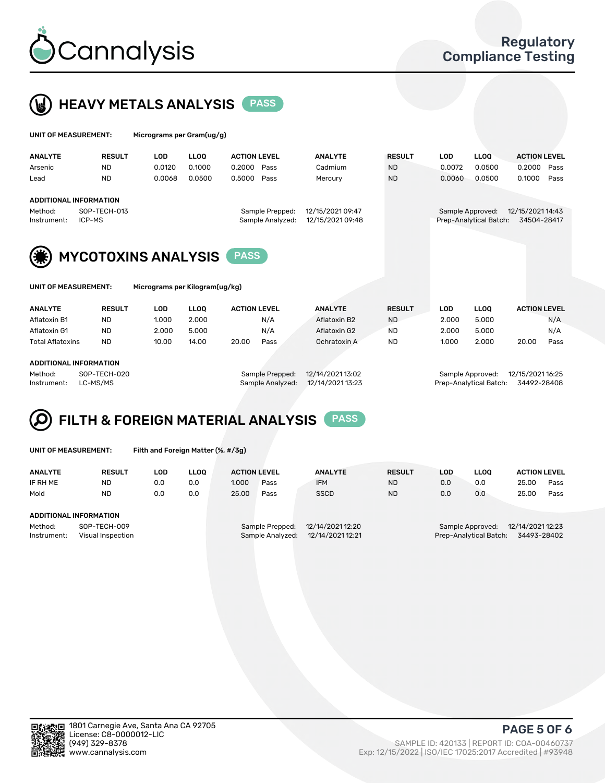



| UNIT OF MEASUREMENT:   |                               | Micrograms per Gram(ug/g) |             |                                     |                                      |               |            |                                            |                                 |      |
|------------------------|-------------------------------|---------------------------|-------------|-------------------------------------|--------------------------------------|---------------|------------|--------------------------------------------|---------------------------------|------|
| <b>ANALYTE</b>         | <b>RESULT</b>                 | <b>LOD</b>                | <b>LLOO</b> | <b>ACTION LEVEL</b>                 | <b>ANALYTE</b>                       | <b>RESULT</b> | <b>LOD</b> | <b>LLOQ</b>                                | <b>ACTION LEVEL</b>             |      |
| Arsenic                | <b>ND</b>                     | 0.0120                    | 0.1000      | 0.2000<br>Pass                      | Cadmium                              | <b>ND</b>     | 0.0072     | 0.0500                                     | 0.2000                          | Pass |
| Lead                   | <b>ND</b>                     | 0.0068                    | 0.0500      | 0.5000<br>Pass                      | Mercury                              | <b>ND</b>     | 0.0060     | 0.0500                                     | 0.1000                          | Pass |
|                        | <b>ADDITIONAL INFORMATION</b> |                           |             |                                     |                                      |               |            |                                            |                                 |      |
| Method:<br>Instrument: | SOP-TECH-013<br>ICP-MS        |                           |             | Sample Prepped:<br>Sample Analyzed: | 12/15/2021 09:47<br>12/15/2021 09:48 |               |            | Sample Approved:<br>Prep-Analytical Batch: | 12/15/2021 14:43<br>34504-28417 |      |
| (第)                    | <b>MYCOTOXINS ANALYSIS</b>    |                           |             | <b>PASS</b>                         |                                      |               |            |                                            |                                 |      |



UNIT OF MEASUREMENT: Micrograms per Kilogram(ug/kg)

| <b>ANALYTE</b>          | <b>RESULT</b> | LOD   | <b>LLOO</b> | <b>ACTION LEVEL</b> | <b>ANALYTE</b> | <b>RESULT</b> | LOD.  | <b>LLOO</b> | <b>ACTION LEVEL</b> |
|-------------------------|---------------|-------|-------------|---------------------|----------------|---------------|-------|-------------|---------------------|
| Aflatoxin B1            | <b>ND</b>     | 1.000 | 2.000       | N/A                 | Aflatoxin B2   | <b>ND</b>     | 2.000 | 5.000       | N/A                 |
| Aflatoxin G1            | <b>ND</b>     | 2.000 | 5.000       | N/A                 | Aflatoxin G2   | <b>ND</b>     | 2.000 | 5.000       | N/A                 |
| <b>Total Aflatoxins</b> | <b>ND</b>     | 10.00 | 14.00       | 20.00<br>Pass       | Ochratoxin A   | <b>ND</b>     | 1.000 | 2.000       | 20.00<br>Pass       |
|                         |               |       |             |                     |                |               |       |             |                     |
| ADDITIONAL INFORMATION  |               |       |             |                     |                |               |       |             |                     |

#### ADDITIONAL INFORMATION

Method: SOP-TECH-020 Sample Prepped: 12/14/2021 13:02 Sample Approved: 12/15/2021 16:25 Instrument: LC-MS/MS Sample Analyzed: 12/14/2021 13:23 Prep-Analytical Batch: 34492-28408

# FILTH & FOREIGN MATERIAL ANALYSIS PASS

UNIT OF MEASUREMENT: Filth and Foreign Matter (%, #/3g)

| <b>ANALYTE</b>                                                                        | <b>RESULT</b> | LOD | <b>LLOO</b> | <b>ACTION LEVEL</b> |                                     | <b>ANALYTE</b>                       | <b>RESULT</b> | LOD | <b>LLOO</b>                                | <b>ACTION LEVEL</b>             |      |  |
|---------------------------------------------------------------------------------------|---------------|-----|-------------|---------------------|-------------------------------------|--------------------------------------|---------------|-----|--------------------------------------------|---------------------------------|------|--|
| IF RH ME                                                                              | ND            | 0.0 | 0.0         | 1.000               | Pass                                | <b>IFM</b>                           | <b>ND</b>     | 0.0 | 0.0                                        | 25.00                           | Pass |  |
| Mold                                                                                  | <b>ND</b>     | 0.0 | 0.0         | 25.00               | Pass                                | <b>SSCD</b>                          | <b>ND</b>     | 0.0 | 0.0                                        | 25.00                           | Pass |  |
| ADDITIONAL INFORMATION<br>SOP-TECH-009<br>Method:<br>Instrument:<br>Visual Inspection |               |     |             |                     | Sample Prepped:<br>Sample Analyzed: | 12/14/2021 12:20<br>12/14/2021 12:21 |               |     | Sample Approved:<br>Prep-Analytical Batch: | 12/14/2021 12:23<br>34493-28402 |      |  |